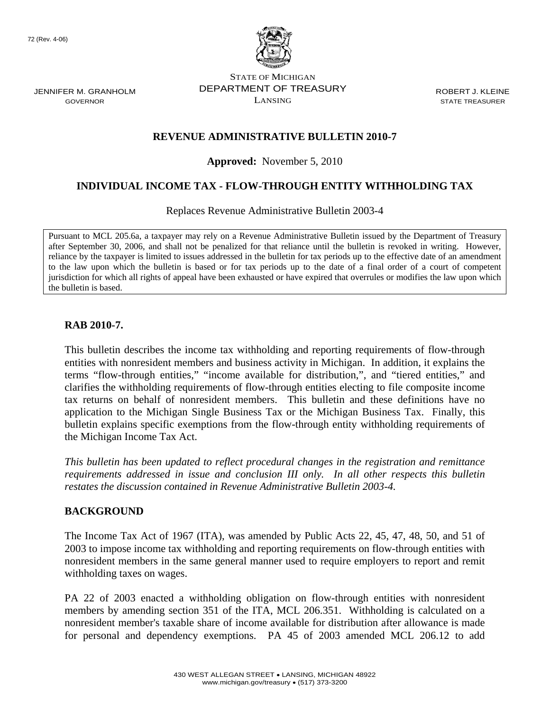72 (Rev. 4-06)

JENNIFER M. GRANHOLM GOVERNOR



STATE OF MICHIGAN DEPARTMENT OF TREASURY LANSING

ROBERT J. KLEINE STATE TREASURER

## **REVENUE ADMINISTRATIVE BULLETIN 2010-7**

**Approved:** November 5, 2010

# **INDIVIDUAL INCOME TAX - FLOW-THROUGH ENTITY WITHHOLDING TAX**

Replaces Revenue Administrative Bulletin 2003-4

Pursuant to MCL 205.6a, a taxpayer may rely on a Revenue Administrative Bulletin issued by the Department of Treasury after September 30, 2006, and shall not be penalized for that reliance until the bulletin is revoked in writing. However, reliance by the taxpayer is limited to issues addressed in the bulletin for tax periods up to the effective date of an amendment to the law upon which the bulletin is based or for tax periods up to the date of a final order of a court of competent jurisdiction for which all rights of appeal have been exhausted or have expired that overrules or modifies the law upon which the bulletin is based.

#### **RAB 2010-7.**

This bulletin describes the income tax withholding and reporting requirements of flow-through entities with nonresident members and business activity in Michigan. In addition, it explains the terms "flow-through entities," "income available for distribution,", and "tiered entities," and clarifies the withholding requirements of flow-through entities electing to file composite income tax returns on behalf of nonresident members. This bulletin and these definitions have no application to the Michigan Single Business Tax or the Michigan Business Tax. Finally, this bulletin explains specific exemptions from the flow-through entity withholding requirements of the Michigan Income Tax Act.

*This bulletin has been updated to reflect procedural changes in the registration and remittance requirements addressed in issue and conclusion III only. In all other respects this bulletin restates the discussion contained in Revenue Administrative Bulletin 2003-4.* 

#### **BACKGROUND**

The Income Tax Act of 1967 (ITA), was amended by Public Acts 22, 45, 47, 48, 50, and 51 of 2003 to impose income tax withholding and reporting requirements on flow-through entities with nonresident members in the same general manner used to require employers to report and remit withholding taxes on wages.

PA 22 of 2003 enacted a withholding obligation on flow-through entities with nonresident members by amending section 351 of the ITA, MCL 206.351. Withholding is calculated on a nonresident member's taxable share of income available for distribution after allowance is made for personal and dependency exemptions. PA 45 of 2003 amended MCL 206.12 to add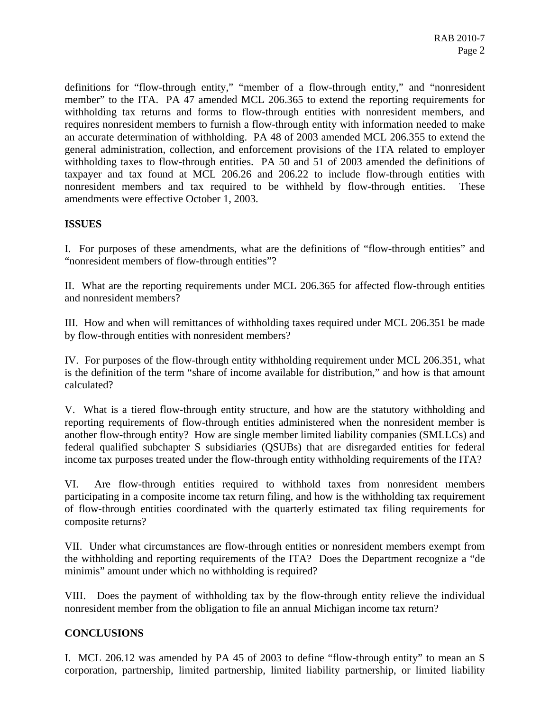definitions for "flow-through entity," "member of a flow-through entity," and "nonresident member" to the ITA. PA 47 amended MCL 206.365 to extend the reporting requirements for withholding tax returns and forms to flow-through entities with nonresident members, and requires nonresident members to furnish a flow-through entity with information needed to make an accurate determination of withholding. PA 48 of 2003 amended MCL 206.355 to extend the general administration, collection, and enforcement provisions of the ITA related to employer withholding taxes to flow-through entities. PA 50 and 51 of 2003 amended the definitions of taxpayer and tax found at MCL 206.26 and 206.22 to include flow-through entities with nonresident members and tax required to be withheld by flow-through entities. These amendments were effective October 1, 2003.

### **ISSUES**

I. For purposes of these amendments, what are the definitions of "flow-through entities" and "nonresident members of flow-through entities"?

II. What are the reporting requirements under MCL 206.365 for affected flow-through entities and nonresident members?

III. How and when will remittances of withholding taxes required under MCL 206.351 be made by flow-through entities with nonresident members?

IV. For purposes of the flow-through entity withholding requirement under MCL 206.351, what is the definition of the term "share of income available for distribution," and how is that amount calculated?

V. What is a tiered flow-through entity structure, and how are the statutory withholding and reporting requirements of flow-through entities administered when the nonresident member is another flow-through entity? How are single member limited liability companies (SMLLCs) and federal qualified subchapter S subsidiaries (QSUBs) that are disregarded entities for federal income tax purposes treated under the flow-through entity withholding requirements of the ITA?

VI. Are flow-through entities required to withhold taxes from nonresident members participating in a composite income tax return filing, and how is the withholding tax requirement of flow-through entities coordinated with the quarterly estimated tax filing requirements for composite returns?

VII. Under what circumstances are flow-through entities or nonresident members exempt from the withholding and reporting requirements of the ITA? Does the Department recognize a "de minimis" amount under which no withholding is required?

VIII. Does the payment of withholding tax by the flow-through entity relieve the individual nonresident member from the obligation to file an annual Michigan income tax return?

### **CONCLUSIONS**

I. MCL 206.12 was amended by PA 45 of 2003 to define "flow-through entity" to mean an S corporation, partnership, limited partnership, limited liability partnership, or limited liability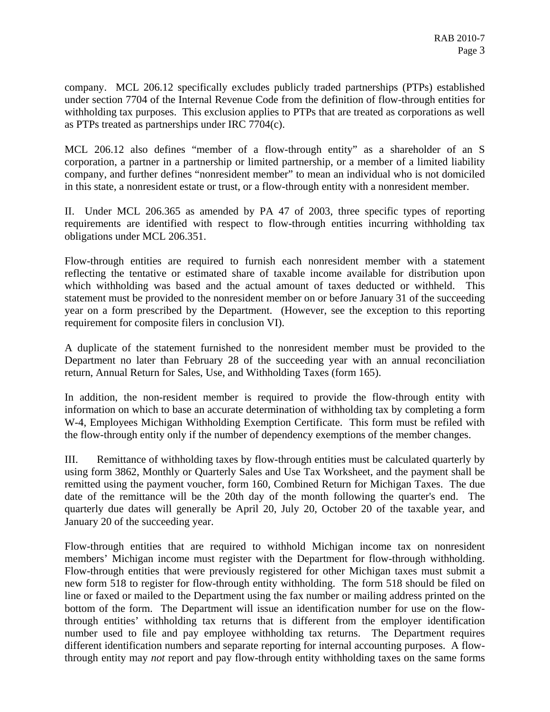company. MCL 206.12 specifically excludes publicly traded partnerships (PTPs) established under section 7704 of the Internal Revenue Code from the definition of flow-through entities for withholding tax purposes. This exclusion applies to PTPs that are treated as corporations as well as PTPs treated as partnerships under IRC 7704(c).

MCL 206.12 also defines "member of a flow-through entity" as a shareholder of an S corporation, a partner in a partnership or limited partnership, or a member of a limited liability company, and further defines "nonresident member" to mean an individual who is not domiciled in this state, a nonresident estate or trust, or a flow-through entity with a nonresident member.

II. Under MCL 206.365 as amended by PA 47 of 2003, three specific types of reporting requirements are identified with respect to flow-through entities incurring withholding tax obligations under MCL 206.351.

Flow-through entities are required to furnish each nonresident member with a statement reflecting the tentative or estimated share of taxable income available for distribution upon which withholding was based and the actual amount of taxes deducted or withheld. This statement must be provided to the nonresident member on or before January 31 of the succeeding year on a form prescribed by the Department. (However, see the exception to this reporting requirement for composite filers in conclusion VI).

A duplicate of the statement furnished to the nonresident member must be provided to the Department no later than February 28 of the succeeding year with an annual reconciliation return, Annual Return for Sales, Use, and Withholding Taxes (form 165).

In addition, the non-resident member is required to provide the flow-through entity with information on which to base an accurate determination of withholding tax by completing a form W-4, Employees Michigan Withholding Exemption Certificate. This form must be refiled with the flow-through entity only if the number of dependency exemptions of the member changes.

III. Remittance of withholding taxes by flow-through entities must be calculated quarterly by using form 3862, Monthly or Quarterly Sales and Use Tax Worksheet, and the payment shall be remitted using the payment voucher, form 160, Combined Return for Michigan Taxes. The due date of the remittance will be the 20th day of the month following the quarter's end. The quarterly due dates will generally be April 20, July 20, October 20 of the taxable year, and January 20 of the succeeding year.

Flow-through entities that are required to withhold Michigan income tax on nonresident members' Michigan income must register with the Department for flow-through withholding. Flow-through entities that were previously registered for other Michigan taxes must submit a new form 518 to register for flow-through entity withholding. The form 518 should be filed on line or faxed or mailed to the Department using the fax number or mailing address printed on the bottom of the form. The Department will issue an identification number for use on the flowthrough entities' withholding tax returns that is different from the employer identification number used to file and pay employee withholding tax returns. The Department requires different identification numbers and separate reporting for internal accounting purposes. A flowthrough entity may *not* report and pay flow-through entity withholding taxes on the same forms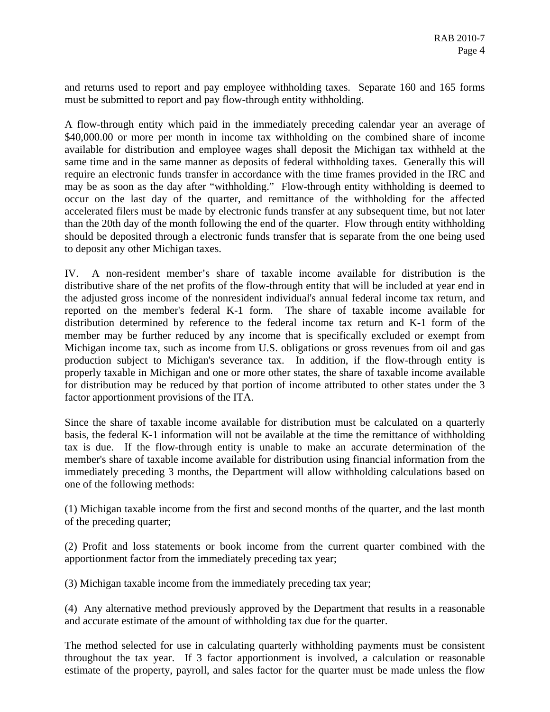and returns used to report and pay employee withholding taxes. Separate 160 and 165 forms must be submitted to report and pay flow-through entity withholding.

A flow-through entity which paid in the immediately preceding calendar year an average of \$40,000.00 or more per month in income tax withholding on the combined share of income available for distribution and employee wages shall deposit the Michigan tax withheld at the same time and in the same manner as deposits of federal withholding taxes. Generally this will require an electronic funds transfer in accordance with the time frames provided in the IRC and may be as soon as the day after "withholding." Flow-through entity withholding is deemed to occur on the last day of the quarter, and remittance of the withholding for the affected accelerated filers must be made by electronic funds transfer at any subsequent time, but not later than the 20th day of the month following the end of the quarter. Flow through entity withholding should be deposited through a electronic funds transfer that is separate from the one being used to deposit any other Michigan taxes.

IV. A non-resident member's share of taxable income available for distribution is the distributive share of the net profits of the flow-through entity that will be included at year end in the adjusted gross income of the nonresident individual's annual federal income tax return, and reported on the member's federal K-1 form. The share of taxable income available for distribution determined by reference to the federal income tax return and K-1 form of the member may be further reduced by any income that is specifically excluded or exempt from Michigan income tax, such as income from U.S. obligations or gross revenues from oil and gas production subject to Michigan's severance tax. In addition, if the flow-through entity is properly taxable in Michigan and one or more other states, the share of taxable income available for distribution may be reduced by that portion of income attributed to other states under the 3 factor apportionment provisions of the ITA.

Since the share of taxable income available for distribution must be calculated on a quarterly basis, the federal K-1 information will not be available at the time the remittance of withholding tax is due. If the flow-through entity is unable to make an accurate determination of the member's share of taxable income available for distribution using financial information from the immediately preceding 3 months, the Department will allow withholding calculations based on one of the following methods:

(1) Michigan taxable income from the first and second months of the quarter, and the last month of the preceding quarter;

(2) Profit and loss statements or book income from the current quarter combined with the apportionment factor from the immediately preceding tax year;

(3) Michigan taxable income from the immediately preceding tax year;

(4) Any alternative method previously approved by the Department that results in a reasonable and accurate estimate of the amount of withholding tax due for the quarter.

The method selected for use in calculating quarterly withholding payments must be consistent throughout the tax year. If 3 factor apportionment is involved, a calculation or reasonable estimate of the property, payroll, and sales factor for the quarter must be made unless the flow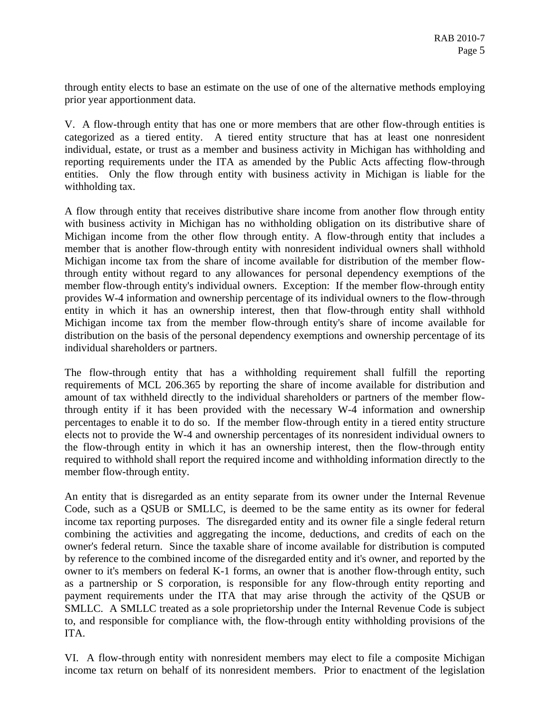through entity elects to base an estimate on the use of one of the alternative methods employing prior year apportionment data.

V. A flow-through entity that has one or more members that are other flow-through entities is categorized as a tiered entity. A tiered entity structure that has at least one nonresident individual, estate, or trust as a member and business activity in Michigan has withholding and reporting requirements under the ITA as amended by the Public Acts affecting flow-through entities. Only the flow through entity with business activity in Michigan is liable for the withholding tax.

A flow through entity that receives distributive share income from another flow through entity with business activity in Michigan has no withholding obligation on its distributive share of Michigan income from the other flow through entity. A flow-through entity that includes a member that is another flow-through entity with nonresident individual owners shall withhold Michigan income tax from the share of income available for distribution of the member flowthrough entity without regard to any allowances for personal dependency exemptions of the member flow-through entity's individual owners. Exception: If the member flow-through entity provides W-4 information and ownership percentage of its individual owners to the flow-through entity in which it has an ownership interest, then that flow-through entity shall withhold Michigan income tax from the member flow-through entity's share of income available for distribution on the basis of the personal dependency exemptions and ownership percentage of its individual shareholders or partners.

The flow-through entity that has a withholding requirement shall fulfill the reporting requirements of MCL 206.365 by reporting the share of income available for distribution and amount of tax withheld directly to the individual shareholders or partners of the member flowthrough entity if it has been provided with the necessary W-4 information and ownership percentages to enable it to do so. If the member flow-through entity in a tiered entity structure elects not to provide the W-4 and ownership percentages of its nonresident individual owners to the flow-through entity in which it has an ownership interest, then the flow-through entity required to withhold shall report the required income and withholding information directly to the member flow-through entity.

An entity that is disregarded as an entity separate from its owner under the Internal Revenue Code, such as a QSUB or SMLLC, is deemed to be the same entity as its owner for federal income tax reporting purposes. The disregarded entity and its owner file a single federal return combining the activities and aggregating the income, deductions, and credits of each on the owner's federal return. Since the taxable share of income available for distribution is computed by reference to the combined income of the disregarded entity and it's owner, and reported by the owner to it's members on federal K-1 forms, an owner that is another flow-through entity, such as a partnership or S corporation, is responsible for any flow-through entity reporting and payment requirements under the ITA that may arise through the activity of the QSUB or SMLLC. A SMLLC treated as a sole proprietorship under the Internal Revenue Code is subject to, and responsible for compliance with, the flow-through entity withholding provisions of the ITA.

VI. A flow-through entity with nonresident members may elect to file a composite Michigan income tax return on behalf of its nonresident members. Prior to enactment of the legislation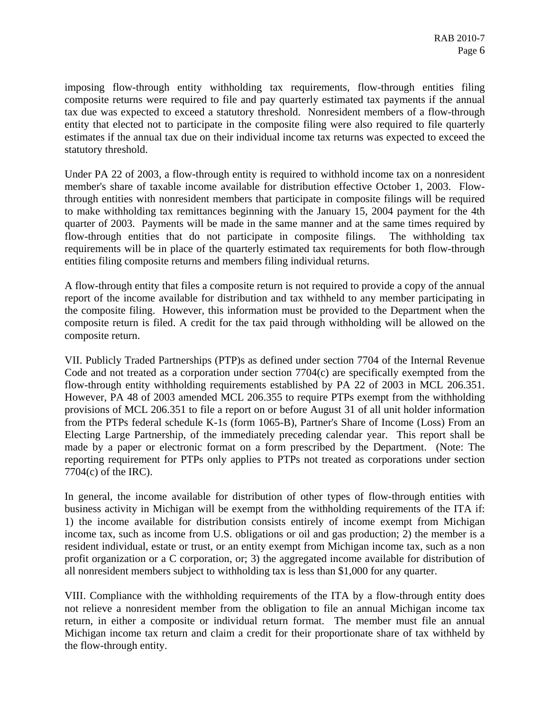imposing flow-through entity withholding tax requirements, flow-through entities filing composite returns were required to file and pay quarterly estimated tax payments if the annual tax due was expected to exceed a statutory threshold. Nonresident members of a flow-through entity that elected not to participate in the composite filing were also required to file quarterly estimates if the annual tax due on their individual income tax returns was expected to exceed the statutory threshold.

Under PA 22 of 2003, a flow-through entity is required to withhold income tax on a nonresident member's share of taxable income available for distribution effective October 1, 2003. Flowthrough entities with nonresident members that participate in composite filings will be required to make withholding tax remittances beginning with the January 15, 2004 payment for the 4th quarter of 2003. Payments will be made in the same manner and at the same times required by flow-through entities that do not participate in composite filings. The withholding tax requirements will be in place of the quarterly estimated tax requirements for both flow-through entities filing composite returns and members filing individual returns.

A flow-through entity that files a composite return is not required to provide a copy of the annual report of the income available for distribution and tax withheld to any member participating in the composite filing. However, this information must be provided to the Department when the composite return is filed. A credit for the tax paid through withholding will be allowed on the composite return.

VII. Publicly Traded Partnerships (PTP)s as defined under section 7704 of the Internal Revenue Code and not treated as a corporation under section 7704(c) are specifically exempted from the flow-through entity withholding requirements established by PA 22 of 2003 in MCL 206.351. However, PA 48 of 2003 amended MCL 206.355 to require PTPs exempt from the withholding provisions of MCL 206.351 to file a report on or before August 31 of all unit holder information from the PTPs federal schedule K-1s (form 1065-B), Partner's Share of Income (Loss) From an Electing Large Partnership, of the immediately preceding calendar year. This report shall be made by a paper or electronic format on a form prescribed by the Department. (Note: The reporting requirement for PTPs only applies to PTPs not treated as corporations under section 7704(c) of the IRC).

In general, the income available for distribution of other types of flow-through entities with business activity in Michigan will be exempt from the withholding requirements of the ITA if: 1) the income available for distribution consists entirely of income exempt from Michigan income tax, such as income from U.S. obligations or oil and gas production; 2) the member is a resident individual, estate or trust, or an entity exempt from Michigan income tax, such as a non profit organization or a C corporation, or; 3) the aggregated income available for distribution of all nonresident members subject to withholding tax is less than \$1,000 for any quarter.

VIII. Compliance with the withholding requirements of the ITA by a flow-through entity does not relieve a nonresident member from the obligation to file an annual Michigan income tax return, in either a composite or individual return format. The member must file an annual Michigan income tax return and claim a credit for their proportionate share of tax withheld by the flow-through entity.